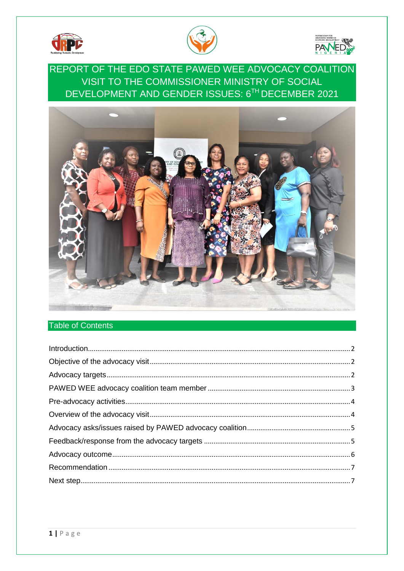





REPORT OF THE EDO STATE PAWED WEE ADVOCACY COALITION VISIT TO THE COMMISSIONER MINISTRY OF SOCIAL DEVELOPMENT AND GENDER ISSUES: 6TH DECEMBER 2021



# **Table of Contents**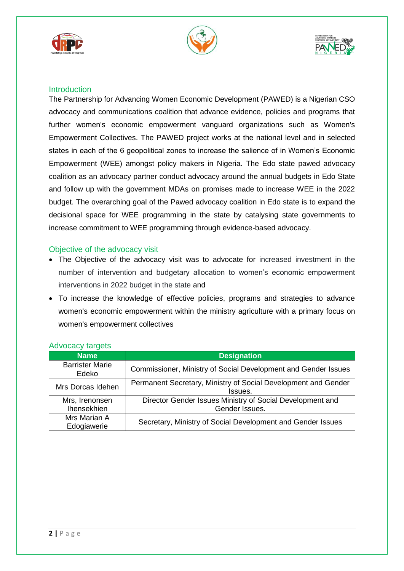





## <span id="page-1-0"></span>**Introduction**

The Partnership for Advancing Women Economic Development (PAWED) is a Nigerian CSO advocacy and communications coalition that advance evidence, policies and programs that further women's economic empowerment vanguard organizations such as Women's Empowerment Collectives. The PAWED project works at the national level and in selected states in each of the 6 geopolitical zones to increase the salience of in Women's Economic Empowerment (WEE) amongst policy makers in Nigeria. The Edo state pawed advocacy coalition as an advocacy partner conduct advocacy around the annual budgets in Edo State and follow up with the government MDAs on promises made to increase WEE in the 2022 budget. The overarching goal of the Pawed advocacy coalition in Edo state is to expand the decisional space for WEE programming in the state by catalysing state governments to increase commitment to WEE programming through evidence-based advocacy.

### <span id="page-1-1"></span>Objective of the advocacy visit

- The Objective of the advocacy visit was to advocate for increased investment in the number of intervention and budgetary allocation to women's economic empowerment interventions in 2022 budget in the state and
- To increase the knowledge of effective policies, programs and strategies to advance women's economic empowerment within the ministry agriculture with a primary focus on women's empowerment collectives

| <b>Name</b>                          | <b>Designation</b>                                                          |  |  |
|--------------------------------------|-----------------------------------------------------------------------------|--|--|
| <b>Barrister Marie</b><br>Edeko      | Commissioner, Ministry of Social Development and Gender Issues              |  |  |
| Mrs Dorcas Idehen                    | Permanent Secretary, Ministry of Social Development and Gender<br>Issues.   |  |  |
| Mrs, Irenonsen<br><b>Ihensekhien</b> | Director Gender Issues Ministry of Social Development and<br>Gender Issues. |  |  |
| Mrs Marian A<br>Edogiawerie          | Secretary, Ministry of Social Development and Gender Issues                 |  |  |

## <span id="page-1-2"></span>Advocacy targets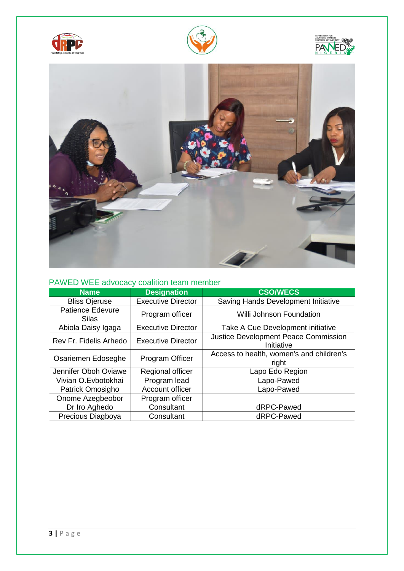







# <span id="page-2-0"></span>PAWED WEE advocacy coalition team member

| <b>Name</b>                             | <b>Designation</b>        | <b>CSO/WECS</b>                                    |
|-----------------------------------------|---------------------------|----------------------------------------------------|
| <b>Bliss Ojeruse</b>                    | <b>Executive Director</b> | Saving Hands Development Initiative                |
| <b>Patience Edevure</b><br><b>Silas</b> | Program officer           | <b>Willi Johnson Foundation</b>                    |
| Abiola Daisy Igaga                      | <b>Executive Director</b> | Take A Cue Development initiative                  |
| Rev Fr. Fidelis Arhedo                  | <b>Executive Director</b> | Justice Development Peace Commission<br>Initiative |
| Osariemen Edoseghe                      | Program Officer           | Access to health, women's and children's<br>right  |
| Jennifer Oboh Oviawe                    | Regional officer          | Lapo Edo Region                                    |
| Vivian O.Evbotokhai                     | Program lead              | Lapo-Pawed                                         |
| Patrick Omosigho                        | Account officer           | Lapo-Pawed                                         |
| Onome Azegbeobor                        | Program officer           |                                                    |
| Dr Iro Aghedo                           | Consultant                | dRPC-Pawed                                         |
| Precious Diagboya                       | Consultant                | dRPC-Pawed                                         |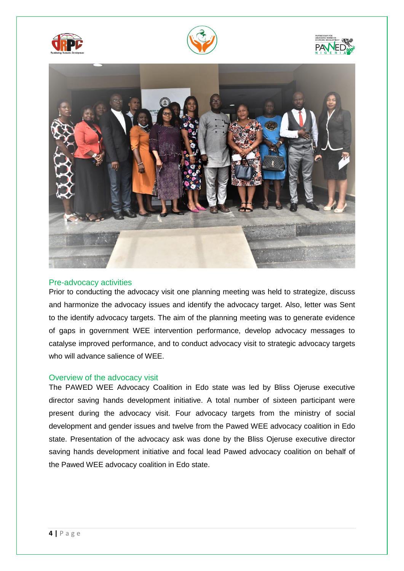







#### <span id="page-3-0"></span>Pre-advocacy activities

Prior to conducting the advocacy visit one planning meeting was held to strategize, discuss and harmonize the advocacy issues and identify the advocacy target. Also, letter was Sent to the identify advocacy targets. The aim of the planning meeting was to generate evidence of gaps in government WEE intervention performance, develop advocacy messages to catalyse improved performance, and to conduct advocacy visit to strategic advocacy targets who will advance salience of WEE.

#### <span id="page-3-1"></span>Overview of the advocacy visit

The PAWED WEE Advocacy Coalition in Edo state was led by Bliss Ojeruse executive director saving hands development initiative. A total number of sixteen participant were present during the advocacy visit. Four advocacy targets from the ministry of social development and gender issues and twelve from the Pawed WEE advocacy coalition in Edo state. Presentation of the advocacy ask was done by the Bliss Ojeruse executive director saving hands development initiative and focal lead Pawed advocacy coalition on behalf of the Pawed WEE advocacy coalition in Edo state.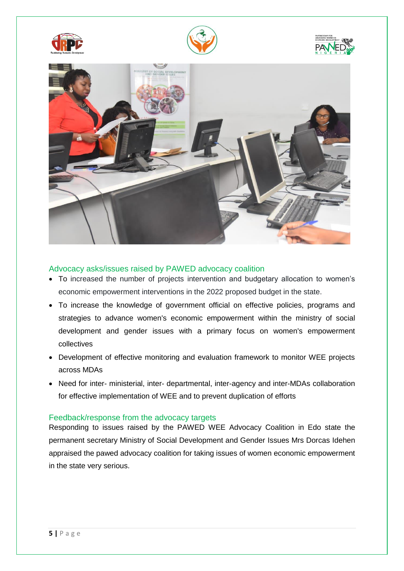







### <span id="page-4-0"></span>Advocacy asks/issues raised by PAWED advocacy coalition

- To increased the number of projects intervention and budgetary allocation to women's economic empowerment interventions in the 2022 proposed budget in the state.
- To increase the knowledge of government official on effective policies, programs and strategies to advance women's economic empowerment within the ministry of social development and gender issues with a primary focus on women's empowerment collectives
- Development of effective monitoring and evaluation framework to monitor WEE projects across MDAs
- Need for inter- ministerial, inter- departmental, inter-agency and inter-MDAs collaboration for effective implementation of WEE and to prevent duplication of efforts

#### <span id="page-4-1"></span>Feedback/response from the advocacy targets

Responding to issues raised by the PAWED WEE Advocacy Coalition in Edo state the permanent secretary Ministry of Social Development and Gender Issues Mrs Dorcas Idehen appraised the pawed advocacy coalition for taking issues of women economic empowerment in the state very serious.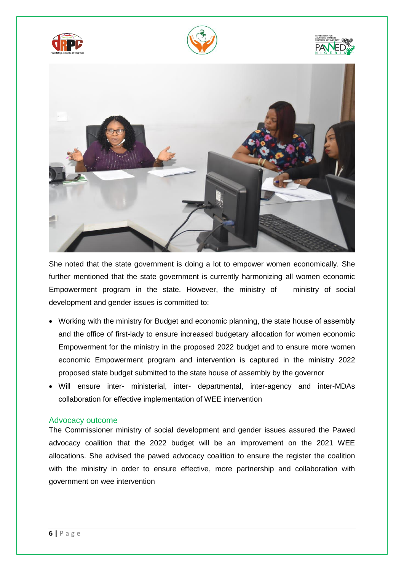







She noted that the state government is doing a lot to empower women economically. She further mentioned that the state government is currently harmonizing all women economic Empowerment program in the state. However, the ministry of ministry of social development and gender issues is committed to:

- Working with the ministry for Budget and economic planning, the state house of assembly and the office of first-lady to ensure increased budgetary allocation for women economic Empowerment for the ministry in the proposed 2022 budget and to ensure more women economic Empowerment program and intervention is captured in the ministry 2022 proposed state budget submitted to the state house of assembly by the governor
- Will ensure inter- ministerial, inter- departmental, inter-agency and inter-MDAs collaboration for effective implementation of WEE intervention

#### <span id="page-5-0"></span>Advocacy outcome

The Commissioner ministry of social development and gender issues assured the Pawed advocacy coalition that the 2022 budget will be an improvement on the 2021 WEE allocations. She advised the pawed advocacy coalition to ensure the register the coalition with the ministry in order to ensure effective, more partnership and collaboration with government on wee intervention